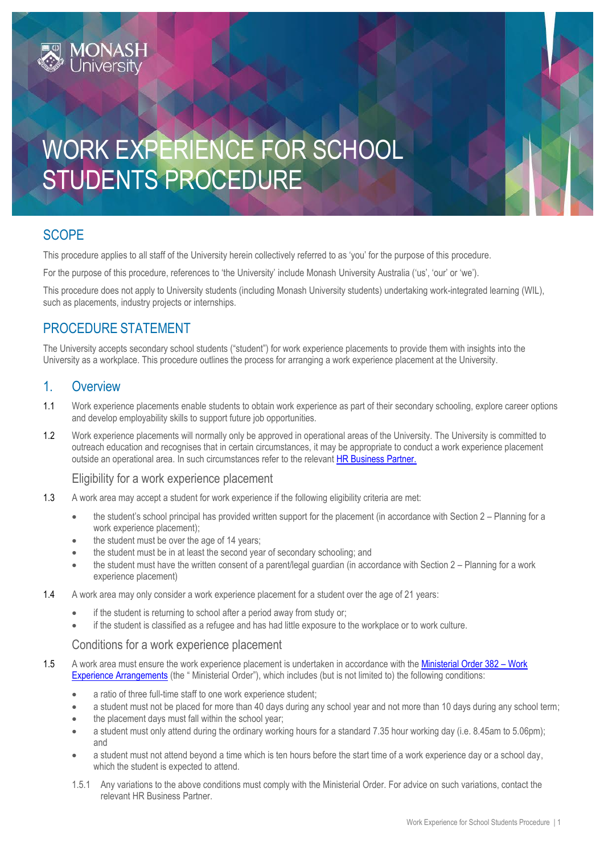

# **SCOPE**

This procedure applies to all staff of the University herein collectively referred to as 'you' for the purpose of this procedure.

For the purpose of this procedure, references to 'the University' include Monash University Australia ('us', 'our' or 'we').

This procedure does not apply to University students (including Monash University students) undertaking work-integrated learning (WIL), such as placements, industry projects or internships.

# PROCEDURE STATEMENT

The University accepts secondary school students ("student") for work experience placements to provide them with insights into the University as a workplace. This procedure outlines the process for arranging a work experience placement at the University.

### 1. Overview

- 1.1 Work experience placements enable students to obtain work experience as part of their secondary schooling, explore career options and develop employability skills to support future job opportunities.
- 1.2 Work experience placements will normally only be approved in operational areas of the University. The University is committed to outreach education and recognises that in certain circumstances, it may be appropriate to conduct a work experience placement outside an operational area. In such circumstances refer to the relevan[t HR Business Partner.](https://www.intranet.monash/hr/contact-us/hr-business-partners)

#### Eligibility for a work experience placement

- 1.3 A work area may accept a student for work experience if the following eligibility criteria are met:
	- the student's school principal has provided written support for the placement (in accordance with Section 2 Planning for a work experience placement);
	- the student must be over the age of 14 years;
	- the student must be in at least the second year of secondary schooling; and
	- the student must have the written consent of a parent/legal guardian (in accordance with Section 2 Planning for a work experience placement)
- 1.4 A work area may only consider a work experience placement for a student over the age of 21 years:
	- if the student is returning to school after a period away from study or;
	- if the student is classified as a refugee and has had little exposure to the workplace or to work culture.

#### Conditions for a work experience placement

- 1.5 A work area must ensure the work experience placement is undertaken in accordance with th[e Ministerial Order 382](https://www.education.vic.gov.au/Documents/school/teachers/teachingresources/careers/work/MinOrder382.pdf)  Work [Experience Arrangements](https://www.education.vic.gov.au/Documents/school/teachers/teachingresources/careers/work/MinOrder382.pdf) (the " Ministerial Order"), which includes (but is not limited to) the following conditions:
	- a ratio of three full-time staff to one work experience student;
	- a student must not be placed for more than 40 days during any school year and not more than 10 days during any school term;
	- the placement days must fall within the school year;
	- a student must only attend during the ordinary working hours for a standard 7.35 hour working day (i.e. 8.45am to 5.06pm); and
	- a student must not attend beyond a time which is ten hours before the start time of a work experience day or a school day, which the student is expected to attend.
	- 1.5.1 Any variations to the above conditions must comply with the Ministerial Order. For advice on such variations, contact the relevant HR Business Partner.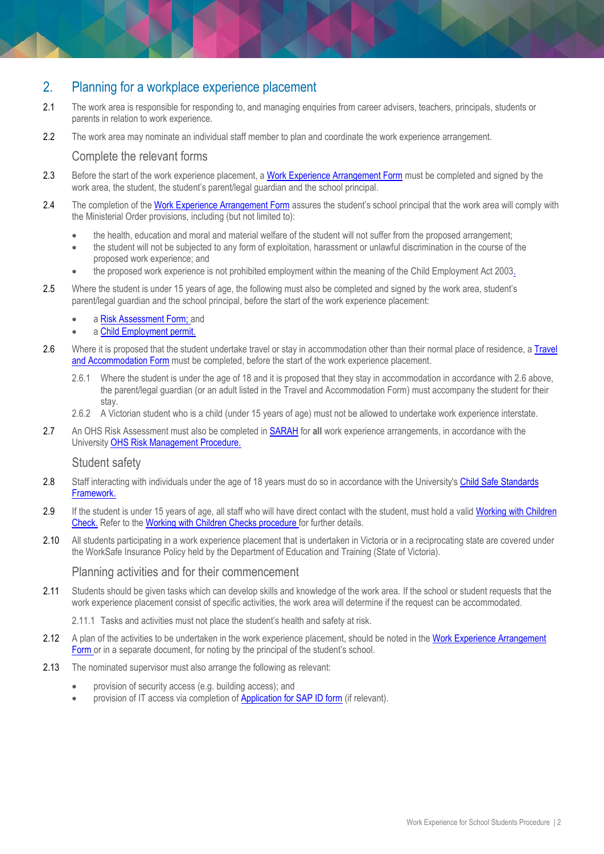# 2. Planning for a workplace experience placement

- 2.1 The work area is responsible for responding to, and managing enquiries from career advisers, teachers, principals, students or parents in relation to work experience.
- 2.2 The work area may nominate an individual staff member to plan and coordinate the work experience arrangement.

#### Complete the relevant forms

- 2.3 Before the start of the work experience placement, a [Work Experience Arrangement Form](http://www.education.vic.gov.au/Documents/school/teachers/teachingresources/careers/work/WEarrangefrmamended.pdf) must be completed and signed by the work area, the student, the student's parent/legal guardian and the school principal.
- 2.4 The completion of the [Work Experience Arrangement Form](http://www.education.vic.gov.au/Documents/school/teachers/teachingresources/careers/work/WEarrangefrmamended.pdf) assures the student's school principal that the work area will comply with the Ministerial Order provisions, including (but not limited to):
	- the health, education and moral and material welfare of the student will not suffer from the proposed arrangement;
	- the student will not be subjected to any form of exploitation, harassment or unlawful discrimination in the course of the proposed work experience; and
	- the proposed work experience is not prohibited employment within the meaning of the [Child Employment Act 2003.](http://www.legislation.vic.gov.au/domino/Web_notes/LDMS/LTObject_Store/LTObjSt1.nsf/d1a8d8a9bed958efca25761600042ef5/10075778ec3864bcca257761001c7284/%24FILE/03-81a012.pdf)
- 2.5 Where the student is under 15 years of age, the following must also be completed and signed by the work area, student's parent/legal guardian and the school principal, before the start of the work experience placement:
	- a [Risk Assessment Form;](http://www.education.vic.gov.au/Documents/school/teachers/teachingresources/careers/work/weriskassessfrm.doc) and
	- a [Child Employment permit.](https://business.vic.gov.au/business-information/staff-and-hr/employing-children/child-employment-an-overview)
- 2.6 Where it is proposed that the student undertake travel or stay in accommodation other than their normal place of residence, a Travel [and Accommodation Form](http://www.education.vic.gov.au/Documents/school/teachers/teachingresources/careers/work/WEtravaccfrmamended.pdf) must be completed, before the start of the work experience placement.
	- 2.6.1 Where the student is under the age of 18 and it is proposed that they stay in accommodation in accordance with 2.6 above, the parent/legal guardian (or an adult listed in the Travel and Accommodation Form) must accompany the student for their stay.
	- 2.6.2 A Victorian student who is a child (under 15 years of age) must not be allowed to undertake work experience interstate.
- 2.7 An OHS Risk Assessment must also be completed in [SARAH](https://www.monash.edu/ohs/sarah) for **all** work experience arrangements, in accordance with the University [OHS Risk Management Procedure.](https://publicpolicydms.monash.edu/Monash/documents/1935636)

#### Student safety

- 2.8 Staff interacting with individuals under the age of 18 years must do so in accordance with the University'[s Child Safe Standards](https://www.monash.edu/__data/assets/pdf_file/0011/948800/CSSF.pdf)  [Framework.](https://www.monash.edu/__data/assets/pdf_file/0011/948800/CSSF.pdf)
- 2.9 If the student is under 15 years of age, all staff who will have direct contact with the student, must hold a valid Working with Children [Check.](https://www.business.vic.gov.au/hiring-and-managing-staff/employing-children/working-with-children-check) Refer to the [Working with Children Checks procedure](https://publicpolicydms.monash.edu/Monash/documents/1935742) for further details.
- 2.10 All students participating in a work experience placement that is undertaken in Victoria or in a reciprocating state are covered under the WorkSafe Insurance Policy held by the Department of Education and Training (State of Victoria).

#### Planning activities and for their commencement

- 2.11 Students should be given tasks which can develop skills and knowledge of the work area. If the school or student requests that the work experience placement consist of specific activities, the work area will determine if the request can be accommodated.
	- 2.11.1 Tasks and activities must not place the student's health and safety at risk.
- 2.12 A plan of the activities to be undertaken in the work experience placement, should be noted in the Work Experience Arrangement [Form](http://www.education.vic.gov.au/Documents/school/teachers/teachingresources/careers/work/WEarrangefrmamended.pdf) or in a separate document, for noting by the principal of the student's school.
- 2.13 The nominated supervisor must also arrange the following as relevant:
	- provision of security access (e.g. building access); and
	- provision of IT access via completion o[f Application for SAP ID form](https://www.google.com/url?q=https://forms.apps.monash.edu/frevvo/web/tn/monash.edu/u/614aac3c-8ab8-4309-9283-375663fa97d8/app/_-olowACQEeixi7BhDBJ2Mg/flowtype/_qCQ7cQCEEeiFS60Q_j-LAQ?_method%3Dpost%26embed%3Dtrue&sa=D&source=editors&ust=1633565924992000&usg=AOvVaw1SuFuK0jQ_a6ANqkyCLNRg) (if relevant).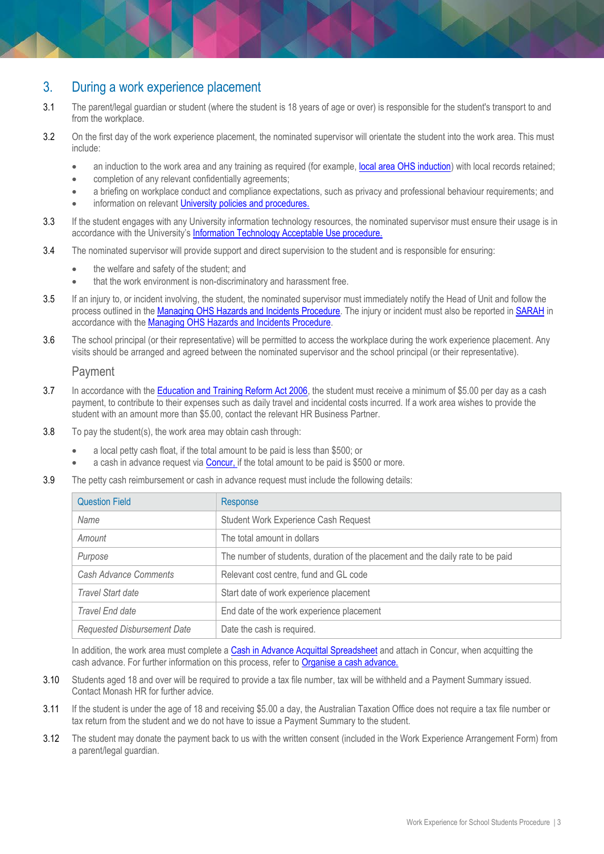### 3. During a work experience placement

- 3.1 The parent/legal guardian or student (where the student is 18 years of age or over) is responsible for the student's transport to and from the workplace.
- 3.2 On the first day of the work experience placement, the nominated supervisor will orientate the student into the work area. This must include:
	- an induction to the work area and any training as required (for example, local [area OHS induction\)](https://www.monash.edu/ohs/induction-training/local-area-induction) with local records retained;
	- completion of any relevant confidentially agreements;
	- a briefing on workplace conduct and compliance expectations, such as privacy and professional behaviour requirements; and
	- information on relevant [University policies and procedures.](https://www.monash.edu/policy-bank/workplace-policy)
- 3.3 If the student engages with any University information technology resources, the nominated supervisor must ensure their usage is in accordance with the University's [Information Technology Acceptable Use procedure.](https://publicpolicydms.monash.edu/Monash/documents/1909280)
- 3.4 The nominated supervisor will provide support and direct supervision to the student and is responsible for ensuring:
	- the welfare and safety of the student; and
	- that the work environment is non-discriminatory and harassment free.
- 3.5 If an injury to, or incident involving, the student, the nominated supervisor must immediately notify the Head of Unit and follow the process outlined in the [Managing OHS Hazards and Incidents Procedure.](https://publicpolicydms.monash.edu/Monash/documents/1935623) The injury or incident must also be reported in **SARAH** in accordance with the [Managing OHS Hazards and Incidents Procedure.](https://publicpolicydms.monash.edu/Monash/documents/1935623)
- 3.6 The school principal (or their representative) will be permitted to access the workplace during the work experience placement. Any visits should be arranged and agreed between the nominated supervisor and the school principal (or their representative).

#### Payment

- 3.7 In accordance with the **Education and Training Reform Act 2006**, the student must receive a minimum of \$5.00 per day as a cash payment, to contribute to their expenses such as daily travel and incidental costs incurred. If a work area wishes to provide the student with an amount more than \$5.00, contact the relevant HR Business Partner.
- 3.8 To pay the student(s), the work area may obtain cash through:
	- a local petty cash float, if the total amount to be paid is less than \$500; or
	- a cash in advance request via [Concur,](https://www.concursolutions.com/portal.asp) if the total amount to be paid is \$500 or more.
- 3.9 The petty cash reimbursement or cash in advance request must include the following details:

| <b>Question Field</b>        | Response                                                                        |
|------------------------------|---------------------------------------------------------------------------------|
| Name                         | <b>Student Work Experience Cash Request</b>                                     |
| Amount                       | The total amount in dollars                                                     |
| Purpose                      | The number of students, duration of the placement and the daily rate to be paid |
| <b>Cash Advance Comments</b> | Relevant cost centre, fund and GL code                                          |
| Travel Start date            | Start date of work experience placement                                         |
| Travel End date              | End date of the work experience placement                                       |
| Requested Disbursement Date  | Date the cash is required.                                                      |

In addition, the work area must complete [a Cash in Advance Acquittal Spreadsheet](https://www.intranet.monash/hr/policies-and-agreements/hr-policy-bank-resources/documents/Work-Experience-Cash-Advance.xlsx) and attach in Concur, when acquitting the cash advance. For further information on this process, refer t[o Organise a cash advance.](https://www.intranet.monash/finance/our-services/concur/cash-advances)

- 3.10 Students aged 18 and over will be required to provide a tax file number, tax will be withheld and a Payment Summary issued. Contact Monash HR for further advice.
- 3.11 If the student is under the age of 18 and receiving \$5.00 a day, the Australian Taxation Office does not require a tax file number or tax return from the student and we do not have to issue a Payment Summary to the student.
- 3.12 The student may donate the payment back to us with the written consent (included in the Work Experience Arrangement Form) from a parent/legal guardian.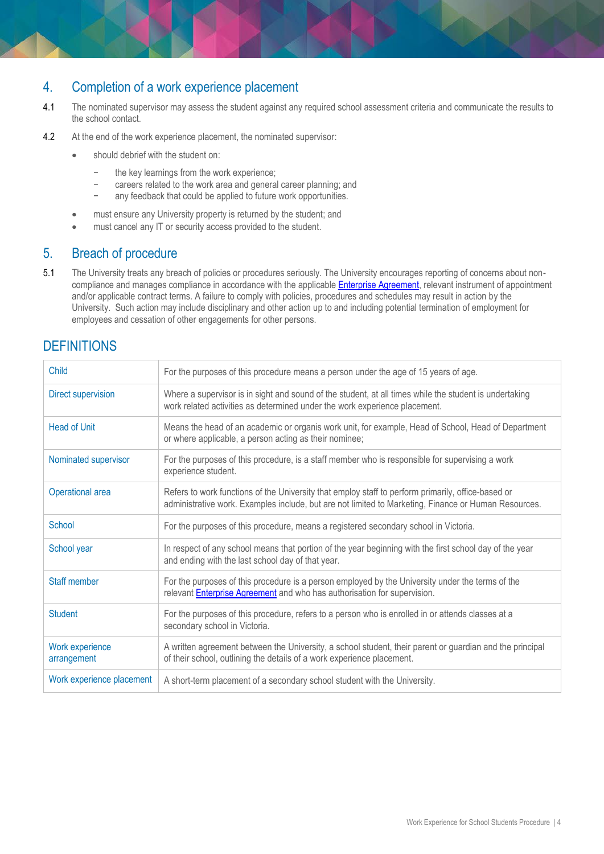# 4. Completion of a work experience placement

- 4.1 The nominated supervisor may assess the student against any required school assessment criteria and communicate the results to the school contact.
- 4.2 At the end of the work experience placement, the nominated supervisor:
	- should debrief with the student on:
		- the key learnings from the work experience;
		- careers related to the work area and general career planning; and
		- any feedback that could be applied to future work opportunities.
	- must ensure any University property is returned by the student; and
	- must cancel any IT or security access provided to the student.

### 5. Breach of procedure

5.1 The University treats any breach of policies or procedures seriously. The University encourages reporting of concerns about noncompliance and manages compliance in accordance with the applicable **Enterprise Agreement**, relevant instrument of appointment and/or applicable contract terms. A failure to comply with policies, procedures and schedules may result in action by the University. Such action may include disciplinary and other action up to and including potential termination of employment for employees and cessation of other engagements for other persons.

### **DEFINITIONS**

| <b>Child</b>                   | For the purposes of this procedure means a person under the age of 15 years of age.                                                                                                                        |
|--------------------------------|------------------------------------------------------------------------------------------------------------------------------------------------------------------------------------------------------------|
| <b>Direct supervision</b>      | Where a supervisor is in sight and sound of the student, at all times while the student is undertaking<br>work related activities as determined under the work experience placement.                       |
| <b>Head of Unit</b>            | Means the head of an academic or organis work unit, for example, Head of School, Head of Department<br>or where applicable, a person acting as their nominee;                                              |
| Nominated supervisor           | For the purposes of this procedure, is a staff member who is responsible for supervising a work<br>experience student.                                                                                     |
| Operational area               | Refers to work functions of the University that employ staff to perform primarily, office-based or<br>administrative work. Examples include, but are not limited to Marketing, Finance or Human Resources. |
| School                         | For the purposes of this procedure, means a registered secondary school in Victoria.                                                                                                                       |
| School year                    | In respect of any school means that portion of the year beginning with the first school day of the year<br>and ending with the last school day of that year.                                               |
| Staff member                   | For the purposes of this procedure is a person employed by the University under the terms of the<br>relevant Enterprise Agreement and who has authorisation for supervision.                               |
| <b>Student</b>                 | For the purposes of this procedure, refers to a person who is enrolled in or attends classes at a<br>secondary school in Victoria.                                                                         |
| Work experience<br>arrangement | A written agreement between the University, a school student, their parent or guardian and the principal<br>of their school, outlining the details of a work experience placement.                         |
| Work experience placement      | A short-term placement of a secondary school student with the University.                                                                                                                                  |